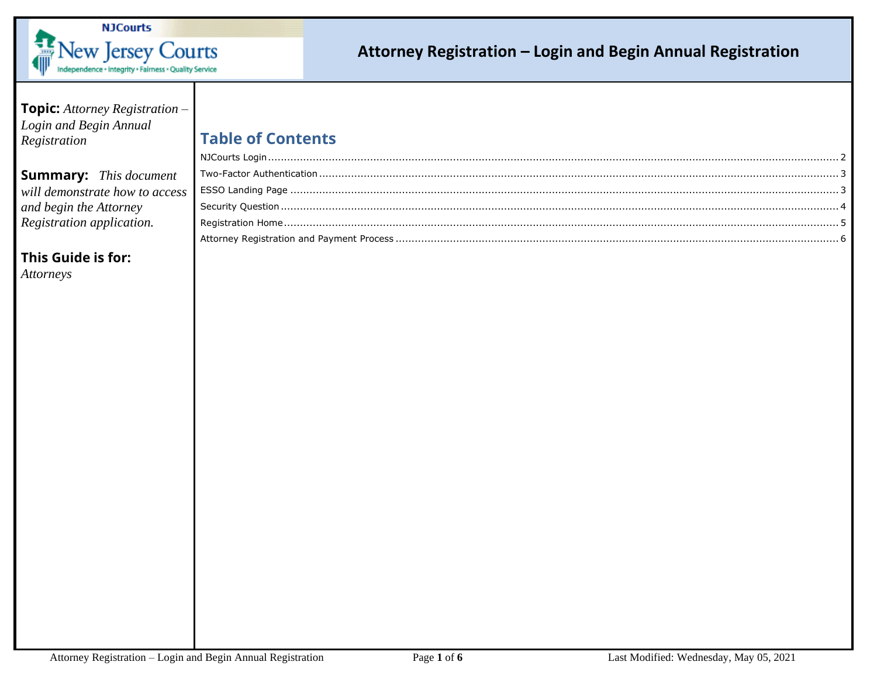

# **Topic:** *Attorney Registration – Login and Begin Annual Registration*  **Summary:** *This document*

### *will demonstrate how to access and begin the Attorney Registration application.*

**This Guide is for:**

*Attorneys*

# **Table of Contents**

| ess: |  |
|------|--|
|      |  |
|      |  |
|      |  |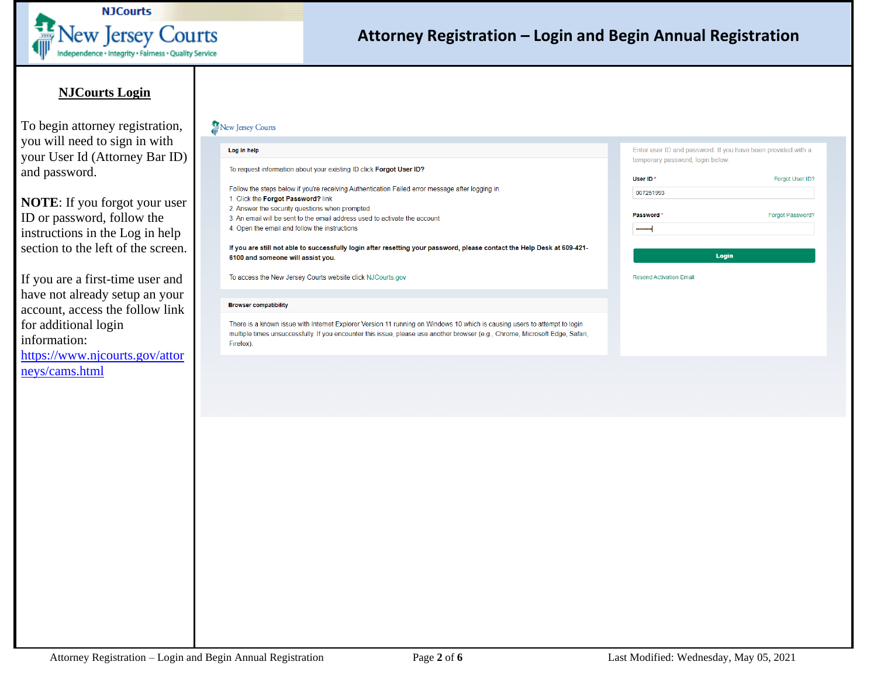

### **NJCourts Login**

<span id="page-1-0"></span>To begin attorney registration, you will need to sign in with your User Id (Attorney Bar ID) and password.

**NOTE**: If you forgot your user ID or password, follow the instructions in the Log in help section to the left of the screen.

If you are a first-time user and have not already setup an your account, access the follow link for additional login information:

[https://www.njcourts.gov/attor](https://www.njcourts.gov/attorneys/cams.html) [neys/cams.html](https://www.njcourts.gov/attorneys/cams.html)

#### **ft New Jersey Courts**

| Log in help                                                                                                                                                                                                                                                             | temporary password, login below.  | Enter user ID and password. If you have been provided with a |
|-------------------------------------------------------------------------------------------------------------------------------------------------------------------------------------------------------------------------------------------------------------------------|-----------------------------------|--------------------------------------------------------------|
| To request information about your existing ID click Forgot User ID?                                                                                                                                                                                                     |                                   |                                                              |
| Follow the steps below if you're receiving Authentication Failed error message after logging in.<br>1. Click the Forgot Password? link                                                                                                                                  | User ID <sup>*</sup><br>007251993 | Forgot User ID'                                              |
| 2. Answer the security questions when prompted<br>3. An email will be sent to the email address used to activate the account<br>4. Open the email and follow the instructions                                                                                           | Password *<br>                    | Forgot Password'                                             |
| If you are still not able to successfully login after resetting your password, please contact the Help Desk at 609-421-<br>6100 and someone will assist you.                                                                                                            |                                   | Login                                                        |
| To access the New Jersey Courts website click NJCourts.gov                                                                                                                                                                                                              | <b>Resend Activation Email</b>    |                                                              |
| <b>Browser compatibility</b>                                                                                                                                                                                                                                            |                                   |                                                              |
| There is a known issue with Internet Explorer Version 11 running on Windows 10 which is causing users to attempt to login<br>multiple times unsuccessfully. If you encounter this issue, please use another browser (e.g., Chrome, Microsoft Edge, Safari,<br>Firefox). |                                   |                                                              |

**Forgot User ID?**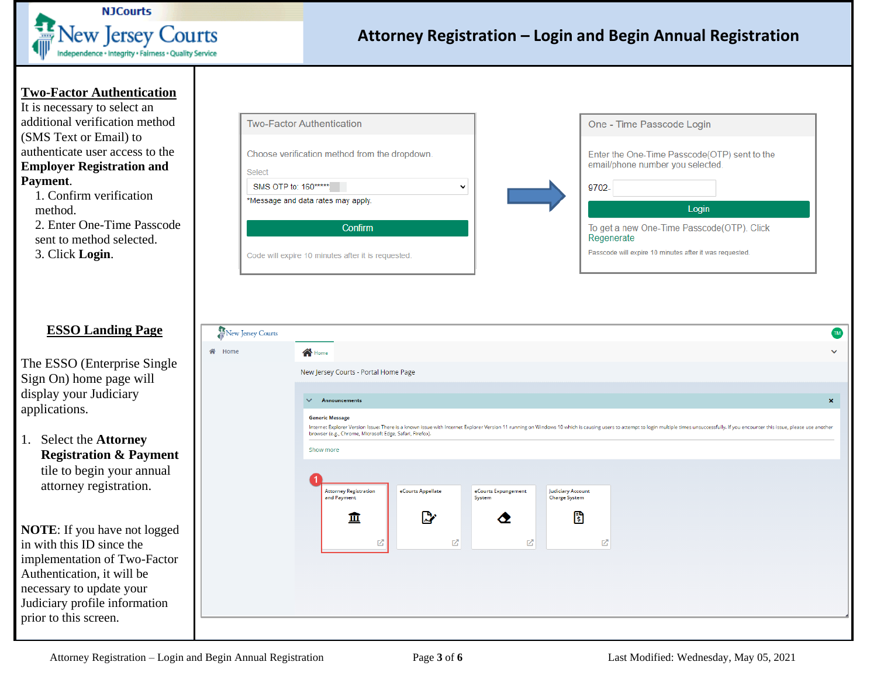

#### <span id="page-2-0"></span>**Two-Factor Authentication**

It is necessary to select an additional verification method (SMS Text or Email) to authenticate user access to the **Employer Registration and Payment**.

1. Confirm verification method. 2. Enter One-Time Passcode sent to method selected. 3. Click **Login**.

### <span id="page-2-1"></span>**ESSO Landing Page**

The ESSO (Enterprise Single Sign On) home page will display your Judiciary applications.

1. Select the **Attorney Registration & Payment** tile to begin your annual attorney registration.

**NOTE**: If you have not logged in with this ID since the implementation of Two-Factor Authentication, it will be necessary to update your Judiciary profile information prior to this screen.

| <b>Two-Factor Authentication</b>                        |  |
|---------------------------------------------------------|--|
| Choose verification method from the dropdown.<br>Select |  |
| SMS OTP to: 160*****                                    |  |
| *Message and data rates may apply.                      |  |
| Confirm                                                 |  |
| Code will expire 10 minutes after it is requested.      |  |



#### New Jersey Courts **TM it** Home **in the Home V**  New Jersey Courts - Portal Home Page ouncements **X**  Generic Message Internet Explorer Version Issue: There is a known issue with Internet Explorer Version 11 running on Windows 10 which is causing users to attempt to login multiple times unsuccessfully. If you encounter this issue, please browser (e.g., Chrome, Microsoft Edge, Safari, Firefox). Show more Attorney Registration eCourts Appellate eCourts Expungement Judiciary Account and Payment Charge System System  $\mathbb{R}^n$ B tti ∧  $\mathbb{Z}$ 环  $\alpha$ ' r $\alpha$ ' r $\alpha$ ' r $\alpha$ ' r $\alpha$ ' r $\alpha$ ' r $\alpha$ ' r $\alpha$ ' r $\alpha$ ' r $\alpha$ ' r $\alpha$ ' r $\alpha$ ' r $\alpha$ ' r $\alpha$ ' r $\alpha$ ' r $\alpha$ ' r $\alpha$ ' r $\alpha$ ' r $\alpha$ ' r $\alpha$ ' r $\alpha$ ' r $\alpha$ ' r $\alpha$ ' r $\alpha$ ' r $\alpha$ ' r $\alpha$ ' r $\alpha$ ' r $\alpha$ ' r $\alpha$ ' r $\alpha$ ' r $\alpha$ ' r $\alpha$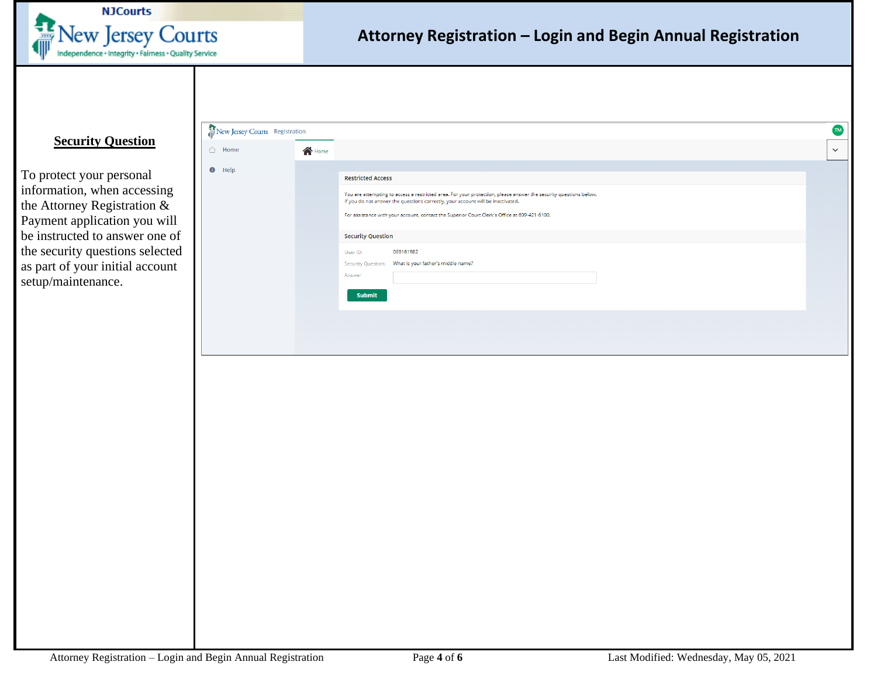

### <span id="page-3-0"></span>**Security Question**

To protect your personal information, when accessing the Attorney Registration & Payment application you will be instructed to answer one of the security questions selected as part of your initial account setup/maintenance.

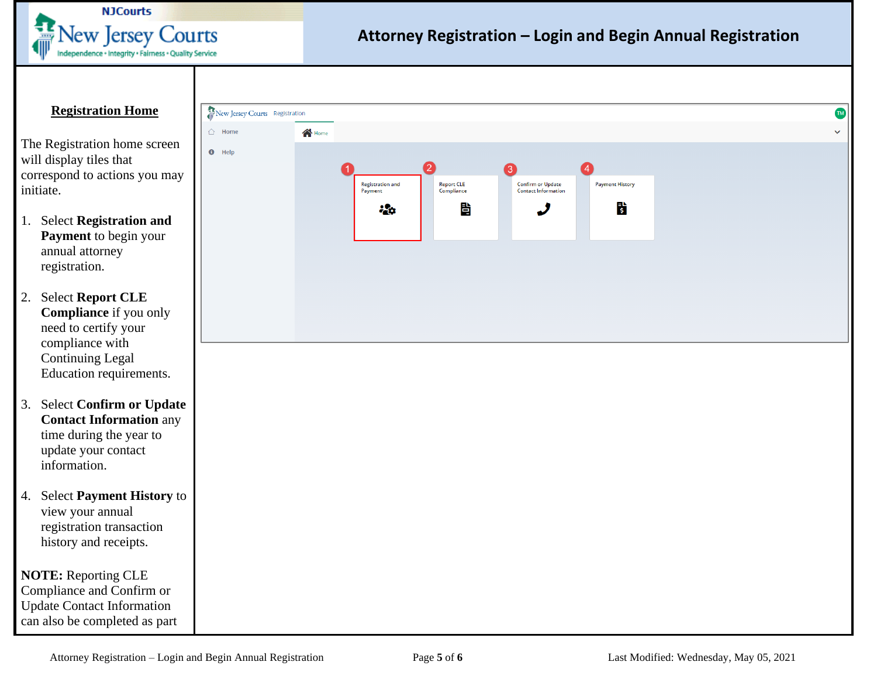

### <span id="page-4-0"></span>**Registration Home**

The Registration home screen will display tiles that correspond to actions you may initiate.

- 1. Select **Registration and Payment** to begin your annual attorney registration.
- 2. Select **Report CLE Compliance** if you only need to certify your compliance with Continuing Legal Education requirements.
- 3. Select **Confirm or Update Contact Information** any time during the year to update your contact information.
- 4. Select **Payment History** to view your annual registration transaction history and receipts.

**NOTE:** Reporting CLE Compliance and Confirm or Update Contact Information can also be completed as part

| $\bigcirc$ Home | $\bigwedge$ Home                  |                                    |                                                                                        |  |
|-----------------|-----------------------------------|------------------------------------|----------------------------------------------------------------------------------------|--|
| $\bullet$ Help  |                                   |                                    |                                                                                        |  |
|                 | 1.<br>Registration and<br>Payment | 2<br>8<br>Report CLE<br>Compliance | $\bullet$<br><b>Confirm or Update</b><br>Contact Information<br><b>Payment History</b> |  |
|                 |                                   | 眥<br>$\frac{1}{2}$                 | $\ddot{\bm{s}}$<br>$\boldsymbol{J}$                                                    |  |
|                 |                                   |                                    |                                                                                        |  |
|                 |                                   |                                    |                                                                                        |  |
|                 |                                   |                                    |                                                                                        |  |
|                 |                                   |                                    |                                                                                        |  |
|                 |                                   |                                    |                                                                                        |  |
|                 |                                   |                                    |                                                                                        |  |
|                 |                                   |                                    |                                                                                        |  |
|                 |                                   |                                    |                                                                                        |  |
|                 |                                   |                                    |                                                                                        |  |
|                 |                                   |                                    |                                                                                        |  |
|                 |                                   |                                    |                                                                                        |  |
|                 |                                   |                                    |                                                                                        |  |